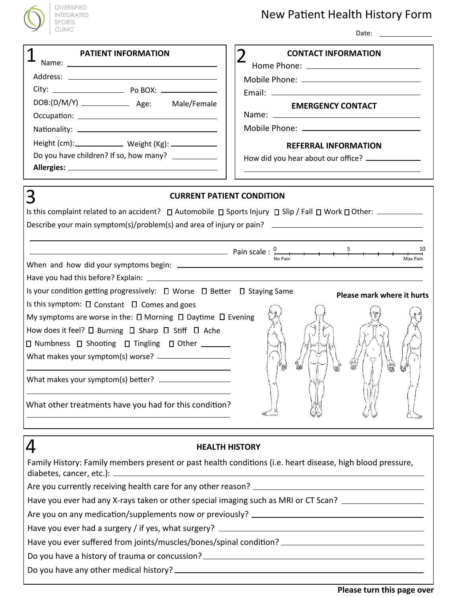

## DIVERSIFIED SPORTS CLINIC

# New Patient Health History Form

Date:

| <b>PATIENT INFORMATION</b>                                                                                                                                                                                                                                                                                                 | <b>CONTACT INFORMATION</b>                                                                                                                                                                                                                                                                                                                                     |                                                                                     |  |
|----------------------------------------------------------------------------------------------------------------------------------------------------------------------------------------------------------------------------------------------------------------------------------------------------------------------------|----------------------------------------------------------------------------------------------------------------------------------------------------------------------------------------------------------------------------------------------------------------------------------------------------------------------------------------------------------------|-------------------------------------------------------------------------------------|--|
|                                                                                                                                                                                                                                                                                                                            |                                                                                                                                                                                                                                                                                                                                                                |                                                                                     |  |
|                                                                                                                                                                                                                                                                                                                            |                                                                                                                                                                                                                                                                                                                                                                |                                                                                     |  |
| DOB:(D/M/Y) ________________ Age: Male/Female                                                                                                                                                                                                                                                                              |                                                                                                                                                                                                                                                                                                                                                                |                                                                                     |  |
|                                                                                                                                                                                                                                                                                                                            | <b>EMERGENCY CONTACT</b>                                                                                                                                                                                                                                                                                                                                       |                                                                                     |  |
|                                                                                                                                                                                                                                                                                                                            |                                                                                                                                                                                                                                                                                                                                                                |                                                                                     |  |
| Height (cm): ______________ Weight (Kg): ____________                                                                                                                                                                                                                                                                      | <b>REFERRAL INFORMATION</b>                                                                                                                                                                                                                                                                                                                                    |                                                                                     |  |
| Do you have children? If so, how many? ____________                                                                                                                                                                                                                                                                        | How did you hear about our office? ____________                                                                                                                                                                                                                                                                                                                |                                                                                     |  |
|                                                                                                                                                                                                                                                                                                                            |                                                                                                                                                                                                                                                                                                                                                                |                                                                                     |  |
|                                                                                                                                                                                                                                                                                                                            |                                                                                                                                                                                                                                                                                                                                                                |                                                                                     |  |
| З<br><b>CURRENT PATIENT CONDITION</b>                                                                                                                                                                                                                                                                                      |                                                                                                                                                                                                                                                                                                                                                                |                                                                                     |  |
| Is this complaint related to an accident? $\Box$ Automobile $\Box$ Sports Injury $\Box$ Slip / Fall $\Box$ Work $\Box$ Other:                                                                                                                                                                                              |                                                                                                                                                                                                                                                                                                                                                                |                                                                                     |  |
| Describe your main symptom(s)/problem(s) and area of injury or pain? _______________________________                                                                                                                                                                                                                       |                                                                                                                                                                                                                                                                                                                                                                |                                                                                     |  |
|                                                                                                                                                                                                                                                                                                                            |                                                                                                                                                                                                                                                                                                                                                                |                                                                                     |  |
|                                                                                                                                                                                                                                                                                                                            | $Pain scale: \frac{0}{N_0 \cdot Pain}$ and $\frac{5}{N_0 \cdot Pain}$ and $\frac{5}{N_0 \cdot Pain}$ and $\frac{5}{N_0 \cdot Pain}$ and $\frac{5}{N_0 \cdot Pain}$ and $\frac{5}{N_0 \cdot Pain}$ and $\frac{5}{N_0 \cdot Pain}$ and $\frac{5}{N_0 \cdot Pain}$ and $\frac{5}{N_0 \cdot Pain}$ and $\frac{5}{N_0 \cdot Pain}$ and $\frac{5}{N_0 \cdot Pain}$ a |                                                                                     |  |
| Is your condition getting progressively: □ Worse □ Better □ Staying Same<br>Please mark where it hurts<br>Is this symptom: $\square$ Constant $\square$ Comes and goes                                                                                                                                                     |                                                                                                                                                                                                                                                                                                                                                                |                                                                                     |  |
|                                                                                                                                                                                                                                                                                                                            |                                                                                                                                                                                                                                                                                                                                                                | My symptoms are worse in the: $\square$ Morning $\square$ Daytime $\square$ Evening |  |
|                                                                                                                                                                                                                                                                                                                            |                                                                                                                                                                                                                                                                                                                                                                | How does it feel? $\square$ Burning $\square$ Sharp $\square$ Stiff $\square$ Ache  |  |
|                                                                                                                                                                                                                                                                                                                            |                                                                                                                                                                                                                                                                                                                                                                | □ Numbness □ Shooting □ Tingling □ Other ______                                     |  |
|                                                                                                                                                                                                                                                                                                                            |                                                                                                                                                                                                                                                                                                                                                                |                                                                                     |  |
|                                                                                                                                                                                                                                                                                                                            |                                                                                                                                                                                                                                                                                                                                                                |                                                                                     |  |
|                                                                                                                                                                                                                                                                                                                            |                                                                                                                                                                                                                                                                                                                                                                |                                                                                     |  |
| What other treatments have you had for this condition?                                                                                                                                                                                                                                                                     |                                                                                                                                                                                                                                                                                                                                                                |                                                                                     |  |
| <u> 1989 - Johann Barn, amerikansk politiker (d. 1989)</u>                                                                                                                                                                                                                                                                 |                                                                                                                                                                                                                                                                                                                                                                |                                                                                     |  |
|                                                                                                                                                                                                                                                                                                                            |                                                                                                                                                                                                                                                                                                                                                                |                                                                                     |  |
| 4<br><b>HEALTH HISTORY</b>                                                                                                                                                                                                                                                                                                 |                                                                                                                                                                                                                                                                                                                                                                |                                                                                     |  |
| Family History: Family members present or past health conditions (i.e. heart disease, high blood pressure,<br>Have you ever had any X-rays taken or other special imaging such as MRI or CT Scan? ________________<br>Have you ever suffered from joints/muscles/bones/spinal condition? _________________________________ |                                                                                                                                                                                                                                                                                                                                                                |                                                                                     |  |
|                                                                                                                                                                                                                                                                                                                            |                                                                                                                                                                                                                                                                                                                                                                |                                                                                     |  |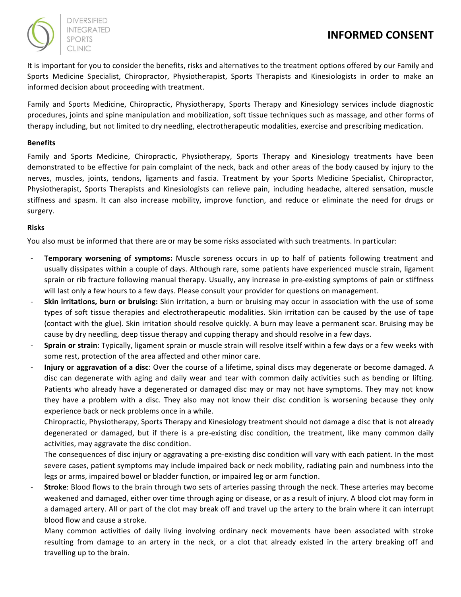

**DIVERSIFIED CLINIC** 

It is important for you to consider the benefits, risks and alternatives to the treatment options offered by our Family and Sports Medicine Specialist, Chiropractor, Physiotherapist, Sports Therapists and Kinesiologists in order to make an informed decision about proceeding with treatment.

Family and Sports Medicine, Chiropractic, Physiotherapy, Sports Therapy and Kinesiology services include diagnostic procedures, joints and spine manipulation and mobilization, soft tissue techniques such as massage, and other forms of therapy including, but not limited to dry needling, electrotherapeutic modalities, exercise and prescribing medication.

## **Benefits**

Family and Sports Medicine, Chiropractic, Physiotherapy, Sports Therapy and Kinesiology treatments have been demonstrated to be effective for pain complaint of the neck, back and other areas of the body caused by injury to the nerves, muscles, joints, tendons, ligaments and fascia. Treatment by your Sports Medicine Specialist, Chiropractor, Physiotherapist, Sports Therapists and Kinesiologists can relieve pain, including headache, altered sensation, muscle stiffness and spasm. It can also increase mobility, improve function, and reduce or eliminate the need for drugs or surgery.

## **Risks**

You also must be informed that there are or may be some risks associated with such treatments. In particular:

- **Temporary worsening of symptoms:** Muscle soreness occurs in up to half of patients following treatment and usually dissipates within a couple of days. Although rare, some patients have experienced muscle strain, ligament sprain or rib fracture following manual therapy. Usually, any increase in pre-existing symptoms of pain or stiffness will last only a few hours to a few days. Please consult your provider for questions on management.
- **Skin irritations, burn or bruising:** Skin irritation, a burn or bruising may occur in association with the use of some types of soft tissue therapies and electrotherapeutic modalities. Skin irritation can be caused by the use of tape (contact with the glue). Skin irritation should resolve quickly. A burn may leave a permanent scar. Bruising may be cause by dry needling, deep tissue therapy and cupping therapy and should resolve in a few days.
- **Sprain or strain**: Typically, ligament sprain or muscle strain will resolve itself within a few days or a few weeks with some rest, protection of the area affected and other minor care.
- **Injury or aggravation of a disc**: Over the course of a lifetime, spinal discs may degenerate or become damaged. A disc can degenerate with aging and daily wear and tear with common daily activities such as bending or lifting. Patients who already have a degenerated or damaged disc may or may not have symptoms. They may not know they have a problem with a disc. They also may not know their disc condition is worsening because they only experience back or neck problems once in a while.

Chiropractic, Physiotherapy, Sports Therapy and Kinesiology treatment should not damage a disc that is not already degenerated or damaged, but if there is a pre-existing disc condition, the treatment, like many common daily activities, may aggravate the disc condition.

The consequences of disc injury or aggravating a pre-existing disc condition will vary with each patient. In the most severe cases, patient symptoms may include impaired back or neck mobility, radiating pain and numbness into the legs or arms, impaired bowel or bladder function, or impaired leg or arm function.

**Stroke**: Blood flows to the brain through two sets of arteries passing through the neck. These arteries may become weakened and damaged, either over time through aging or disease, or as a result of injury. A blood clot may form in a damaged artery. All or part of the clot may break off and travel up the artery to the brain where it can interrupt blood flow and cause a stroke.

Many common activities of daily living involving ordinary neck movements have been associated with stroke resulting from damage to an artery in the neck, or a clot that already existed in the artery breaking off and travelling up to the brain.